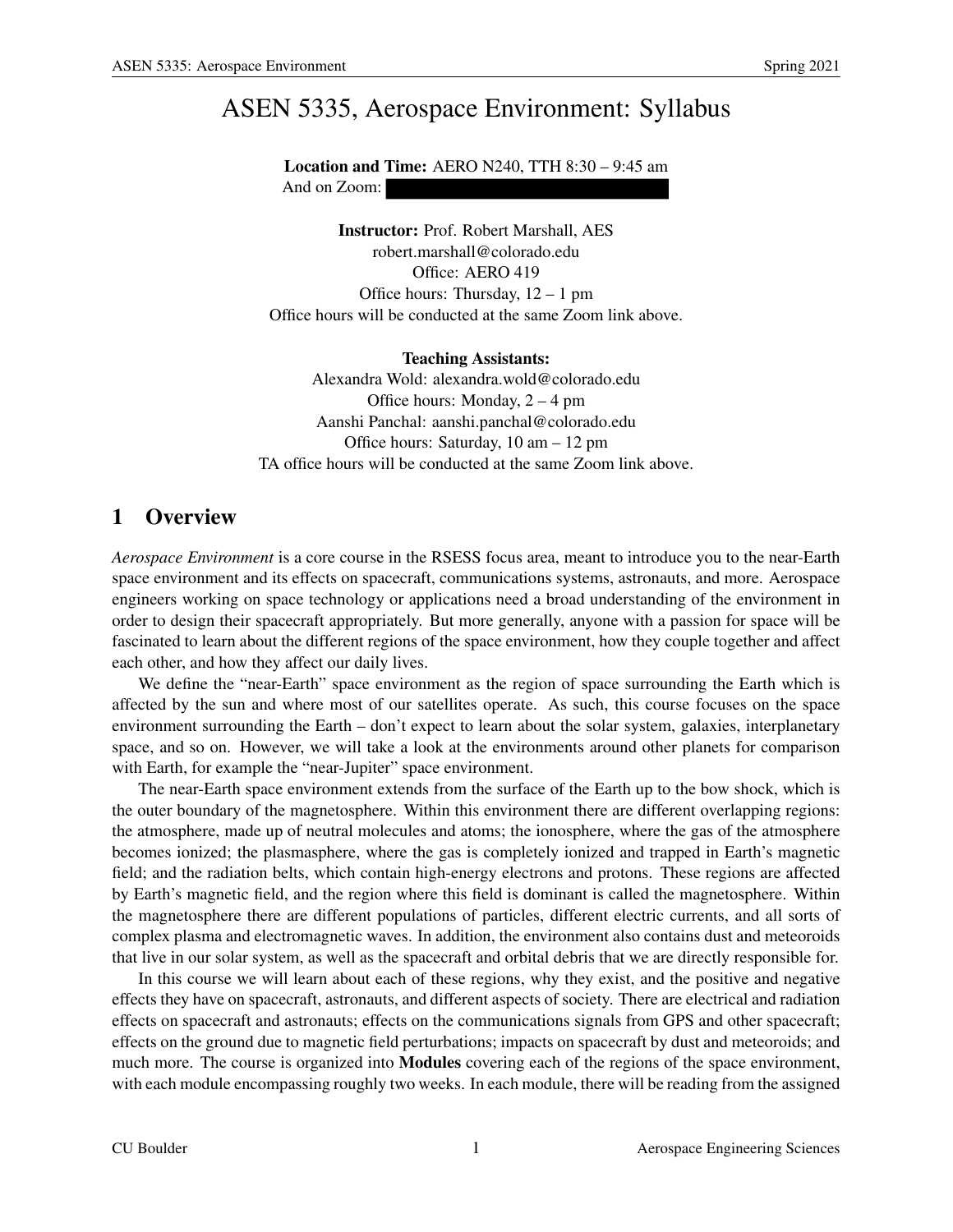# ASEN 5335, Aerospace Environment: Syllabus

Location and Time: AERO N240, TTH 8:30 – 9:45 am And on Zoom:

Instructor: Prof. Robert Marshall, AES robert.marshall@colorado.edu Office: AERO 419 Office hours: Thursday, 12 – 1 pm Office hours will be conducted at the same Zoom link above.

Teaching Assistants: Alexandra Wold: alexandra.wold@colorado.edu Office hours: Monday, 2 – 4 pm Aanshi Panchal: aanshi.panchal@colorado.edu Office hours: Saturday, 10 am – 12 pm TA office hours will be conducted at the same Zoom link above.

## 1 Overview

*Aerospace Environment* is a core course in the RSESS focus area, meant to introduce you to the near-Earth space environment and its effects on spacecraft, communications systems, astronauts, and more. Aerospace engineers working on space technology or applications need a broad understanding of the environment in order to design their spacecraft appropriately. But more generally, anyone with a passion for space will be fascinated to learn about the different regions of the space environment, how they couple together and affect each other, and how they affect our daily lives.

We define the "near-Earth" space environment as the region of space surrounding the Earth which is affected by the sun and where most of our satellites operate. As such, this course focuses on the space environment surrounding the Earth – don't expect to learn about the solar system, galaxies, interplanetary space, and so on. However, we will take a look at the environments around other planets for comparison with Earth, for example the "near-Jupiter" space environment.

The near-Earth space environment extends from the surface of the Earth up to the bow shock, which is the outer boundary of the magnetosphere. Within this environment there are different overlapping regions: the atmosphere, made up of neutral molecules and atoms; the ionosphere, where the gas of the atmosphere becomes ionized; the plasmasphere, where the gas is completely ionized and trapped in Earth's magnetic field; and the radiation belts, which contain high-energy electrons and protons. These regions are affected by Earth's magnetic field, and the region where this field is dominant is called the magnetosphere. Within the magnetosphere there are different populations of particles, different electric currents, and all sorts of complex plasma and electromagnetic waves. In addition, the environment also contains dust and meteoroids that live in our solar system, as well as the spacecraft and orbital debris that we are directly responsible for.

In this course we will learn about each of these regions, why they exist, and the positive and negative effects they have on spacecraft, astronauts, and different aspects of society. There are electrical and radiation effects on spacecraft and astronauts; effects on the communications signals from GPS and other spacecraft; effects on the ground due to magnetic field perturbations; impacts on spacecraft by dust and meteoroids; and much more. The course is organized into **Modules** covering each of the regions of the space environment, with each module encompassing roughly two weeks. In each module, there will be reading from the assigned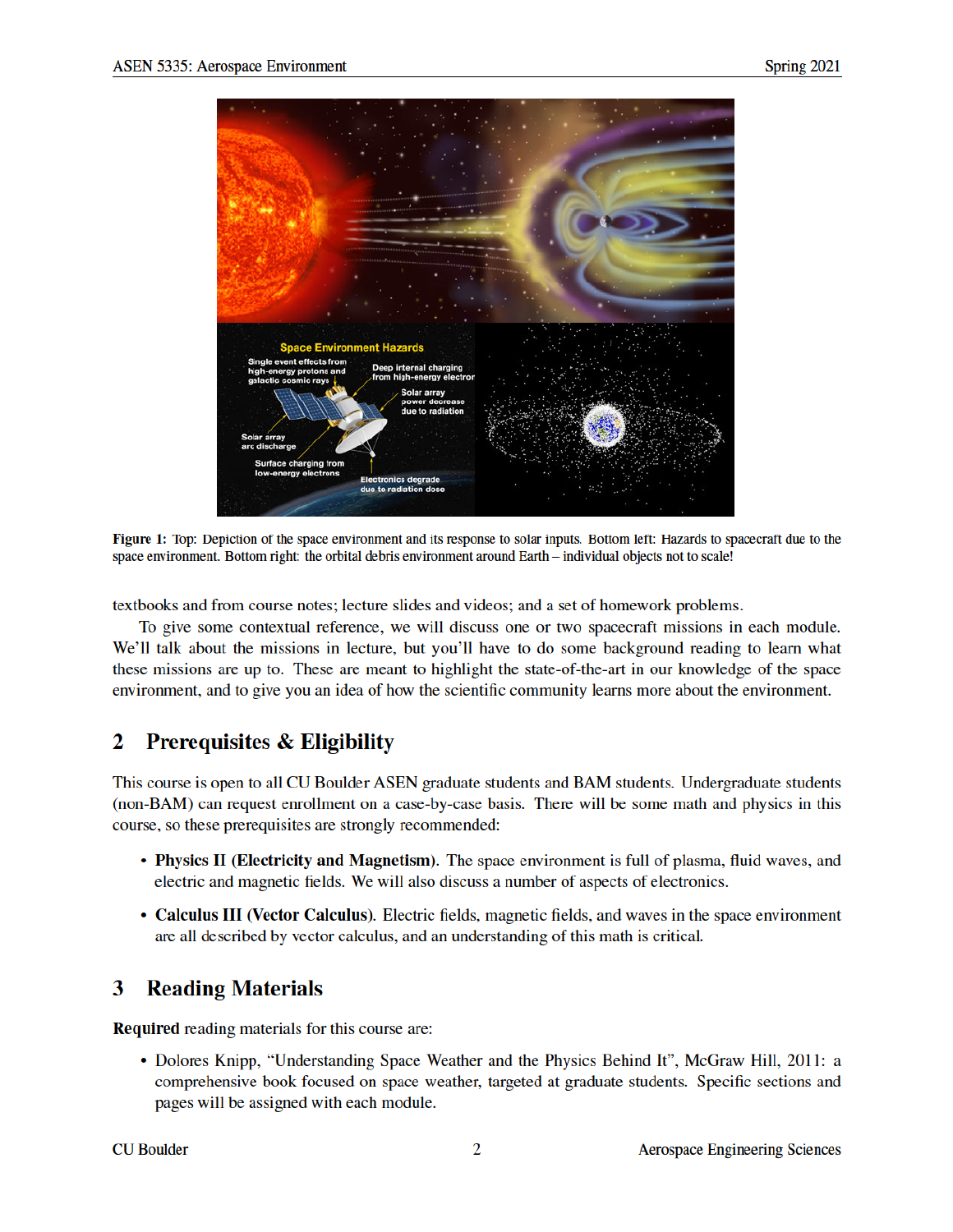

Figure 1: Top: Depiction of the space environment and its response to solar inputs. Bottom left: Hazards to spacecraft due to the space environment. Bottom right: the orbital debris environment around Earth - individual objects not to scale!

textbooks and from course notes; lecture slides and videos; and a set of homework problems.

To give some contextual reference, we will discuss one or two spacecraft missions in each module. We'll talk about the missions in lecture, but you'll have to do some background reading to learn what these missions are up to. These are meant to highlight the state-of-the-art in our knowledge of the space environment, and to give you an idea of how the scientific community learns more about the environment.

#### 2 **Prerequisites & Eligibility**

This course is open to all CU Boulder ASEN graduate students and BAM students. Undergraduate students (non-BAM) can request enrollment on a case-by-case basis. There will be some math and physics in this course, so these prerequisites are strongly recommended:

- Physics II (Electricity and Magnetism). The space environment is full of plasma, fluid waves, and electric and magnetic fields. We will also discuss a number of aspects of electronics.
- Calculus III (Vector Calculus). Electric fields, magnetic fields, and waves in the space environment are all described by vector calculus, and an understanding of this math is critical.

#### 3 **Reading Materials**

**Required** reading materials for this course are:

• Dolores Knipp, "Understanding Space Weather and the Physics Behind It", McGraw Hill, 2011: a comprehensive book focused on space weather, targeted at graduate students. Specific sections and pages will be assigned with each module.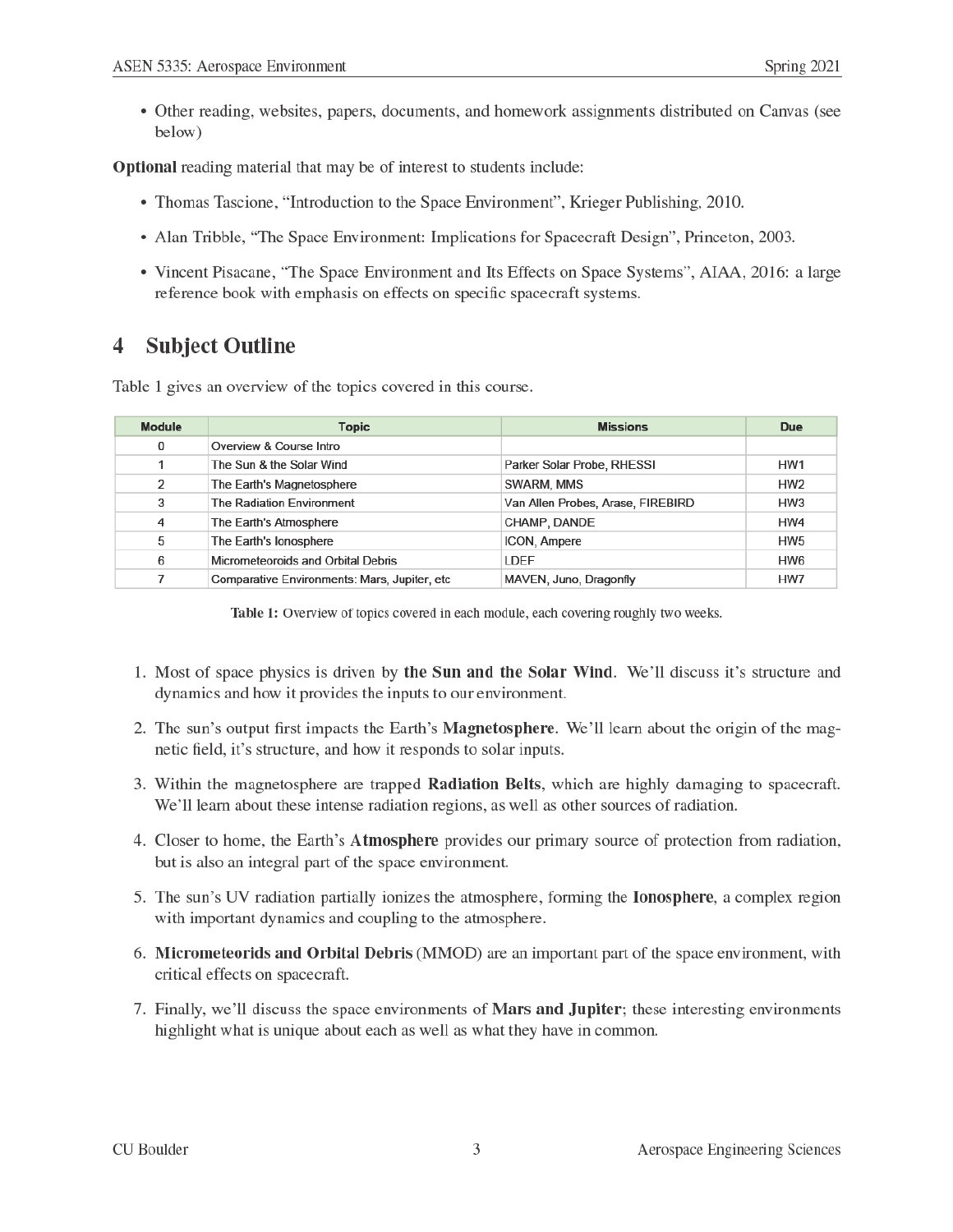• Other reading, websites, papers, documents, and homework assignments distributed on Canvas (see below)

Optional reading material that may be of interest to students include:

- Thomas Tascione, "Introduction to the Space Environment", Krieger Publishing, 2010.
- Alan Tribble, "The Space Environment: Implications for Spacecraft Design", Princeton, 2003.
- Vincent Pisacane, "The Space Environment and Its Effects on Space Systems", AIAA, 2016: a large reference book with emphasis on effects on specific spacecraft systems.

#### **Subject Outline** 4

Table 1 gives an overview of the topics covered in this course.

| <b>Module</b> | <b>Topic</b>                                  | <b>Missions</b>                   | Due             |
|---------------|-----------------------------------------------|-----------------------------------|-----------------|
| 0             | Overview & Course Intro                       |                                   |                 |
|               | The Sun & the Solar Wind                      | Parker Solar Probe, RHESSI        | HW1             |
| 2             | The Earth's Magnetosphere                     | SWARM, MMS                        | HW <sub>2</sub> |
| 3             | The Radiation Environment                     | Van Allen Probes, Arase, FIREBIRD | HW <sub>3</sub> |
| 4             | The Earth's Atmosphere                        | CHAMP, DANDE                      | HW4             |
| 5             | The Earth's lonosphere                        | ICON, Ampere                      | HW <sub>5</sub> |
| 6             | Micrometeoroids and Orbital Debris            | LDEF                              | HW <sub>6</sub> |
|               | Comparative Environments: Mars, Jupiter, etc. | MAVEN, Juno, Dragonfly            | HW7             |

Table 1: Overview of topics covered in each module, each covering roughly two weeks.

- 1. Most of space physics is driven by the Sun and the Solar Wind. We'll discuss it's structure and dynamics and how it provides the inputs to our environment.
- 2. The sun's output first impacts the Earth's Magnetosphere. We'll learn about the origin of the magnetic field, it's structure, and how it responds to solar inputs.
- 3. Within the magnetosphere are trapped **Radiation Belts**, which are highly damaging to spacecraft. We'll learn about these intense radiation regions, as well as other sources of radiation.
- 4. Closer to home, the Earth's Atmosphere provides our primary source of protection from radiation, but is also an integral part of the space environment.
- 5. The sun's UV radiation partially ionizes the atmosphere, forming the **Ionosphere**, a complex region with important dynamics and coupling to the atmosphere.
- 6. Micrometeorids and Orbital Debris (MMOD) are an important part of the space environment, with critical effects on spacecraft.
- 7. Finally, we'll discuss the space environments of **Mars and Jupiter**; these interesting environments highlight what is unique about each as well as what they have in common.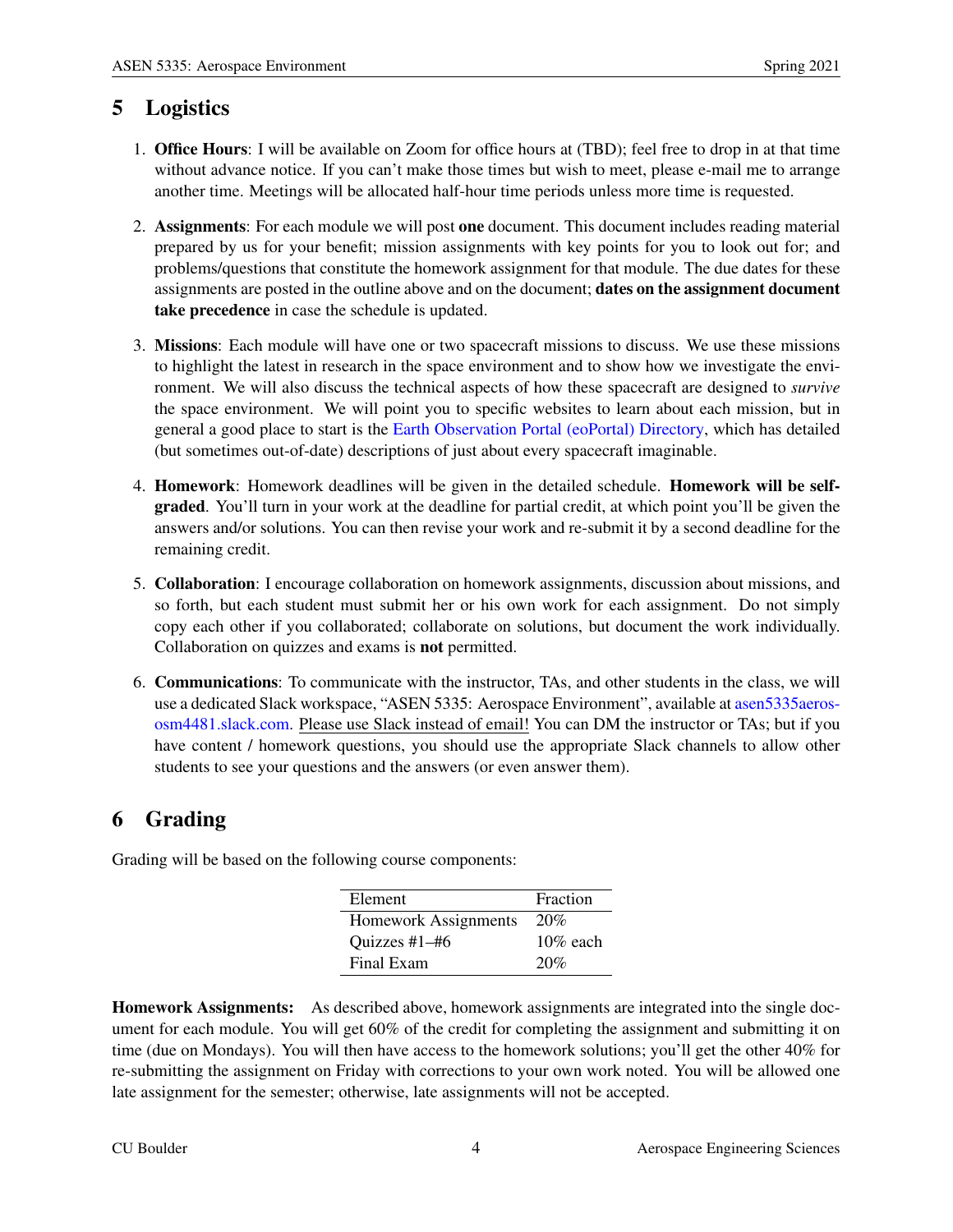## 5 Logistics

- 1. Office Hours: I will be available on Zoom for office hours at (TBD); feel free to drop in at that time without advance notice. If you can't make those times but wish to meet, please e-mail me to arrange another time. Meetings will be allocated half-hour time periods unless more time is requested.
- 2. Assignments: For each module we will post one document. This document includes reading material prepared by us for your benefit; mission assignments with key points for you to look out for; and problems/questions that constitute the homework assignment for that module. The due dates for these assignments are posted in the outline above and on the document; dates on the assignment document take precedence in case the schedule is updated.
- 3. Missions: Each module will have one or two spacecraft missions to discuss. We use these missions to highlight the latest in research in the space environment and to show how we investigate the environment. We will also discuss the technical aspects of how these spacecraft are designed to *survive* the space environment. We will point you to specific websites to learn about each mission, but in general a good place to start is the Earth Observation Portal (eoPortal) Directory, which has detailed (but sometimes out-of-date) descriptions of just about every spacecraft imaginable.
- 4. Homework: Homework deadlines will be given in the detailed schedule. Homework will be selfgraded. You'll turn in your work at the deadline for partial credit, at which point you'll be given the answers and/or solutions. You can then revise your work and re-submit it by a second deadline for the remaining credit.
- 5. Collaboration: I encourage collaboration on homework assignments, discussion about missions, and so forth, but each student must submit her or his own work for each assignment. Do not simply copy each other if you collaborated; collaborate on solutions, but document the work individually. Collaboration on quizzes and exams is not permitted.
- 6. Communications: To communicate with the instructor, TAs, and other students in the class, we will use a dedicated Slack workspace, "ASEN 5335: Aerospace Environment", available at asen5335aerososm4481.slack.com. Please use Slack instead of email! You can DM the instructor or TAs; but if you have content / homework questions, you should use the appropriate Slack channels to allow other students to see your questions and the answers (or even answer them).

# 6 Grading

| Element              | Fraction    |  |
|----------------------|-------------|--|
| Homework Assignments | 20%         |  |
| Quizzes #1-#6        | $10\%$ each |  |
| Final Exam           | 20%         |  |

Grading will be based on the following course components:

Homework Assignments: As described above, homework assignments are integrated into the single document for each module. You will get 60% of the credit for completing the assignment and submitting it on time (due on Mondays). You will then have access to the homework solutions; you'll get the other 40% for re-submitting the assignment on Friday with corrections to your own work noted. You will be allowed one late assignment for the semester; otherwise, late assignments will not be accepted.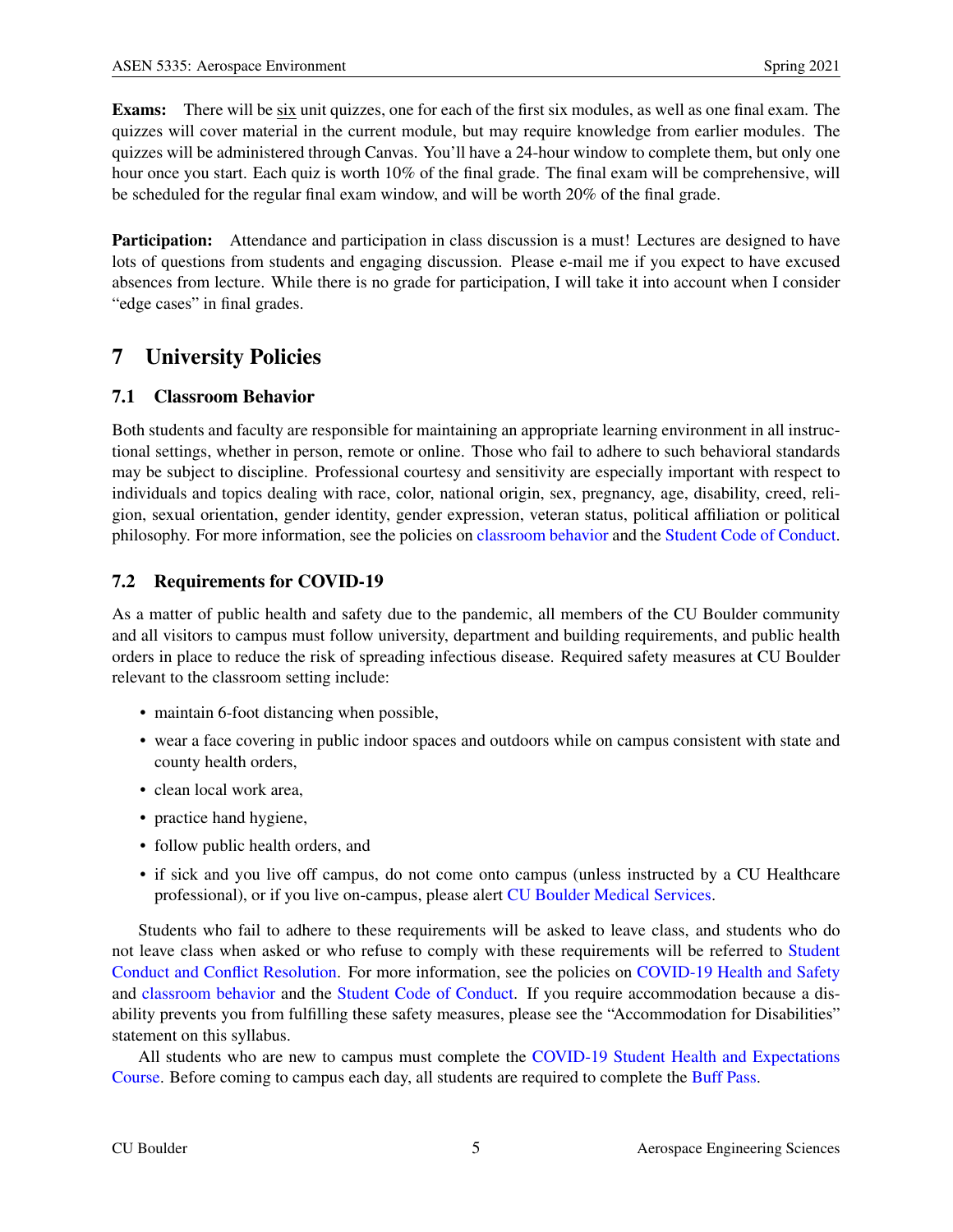Exams: There will be six unit quizzes, one for each of the first six modules, as well as one final exam. The quizzes will cover material in the current module, but may require knowledge from earlier modules. The quizzes will be administered through Canvas. You'll have a 24-hour window to complete them, but only one hour once you start. Each quiz is worth 10% of the final grade. The final exam will be comprehensive, will be scheduled for the regular final exam window, and will be worth 20% of the final grade.

**Participation:** Attendance and participation in class discussion is a must! Lectures are designed to have lots of questions from students and engaging discussion. Please e-mail me if you expect to have excused absences from lecture. While there is no grade for participation, I will take it into account when I consider "edge cases" in final grades.

## 7 University Policies

### 7.1 Classroom Behavior

Both students and faculty are responsible for maintaining an appropriate learning environment in all instructional settings, whether in person, remote or online. Those who fail to adhere to such behavioral standards may be subject to discipline. Professional courtesy and sensitivity are especially important with respect to individuals and topics dealing with race, color, national origin, sex, pregnancy, age, disability, creed, religion, sexual orientation, gender identity, gender expression, veteran status, political affiliation or political philosophy. For more information, see the policies on classroom behavior and the Student Code of Conduct.

### 7.2 Requirements for COVID-19

As a matter of public health and safety due to the pandemic, all members of the CU Boulder community and all visitors to campus must follow university, department and building requirements, and public health orders in place to reduce the risk of spreading infectious disease. Required safety measures at CU Boulder relevant to the classroom setting include:

- maintain 6-foot distancing when possible,
- wear a face covering in public indoor spaces and outdoors while on campus consistent with state and county health orders,
- clean local work area,
- practice hand hygiene,
- follow public health orders, and
- if sick and you live off campus, do not come onto campus (unless instructed by a CU Healthcare professional), or if you live on-campus, please alert CU Boulder Medical Services.

Students who fail to adhere to these requirements will be asked to leave class, and students who do not leave class when asked or who refuse to comply with these requirements will be referred to Student Conduct and Conflict Resolution. For more information, see the policies on COVID-19 Health and Safety and classroom behavior and the Student Code of Conduct. If you require accommodation because a disability prevents you from fulfilling these safety measures, please see the "Accommodation for Disabilities" statement on this syllabus.

All students who are new to campus must complete the COVID-19 Student Health and Expectations Course. Before coming to campus each day, all students are required to complete the Buff Pass.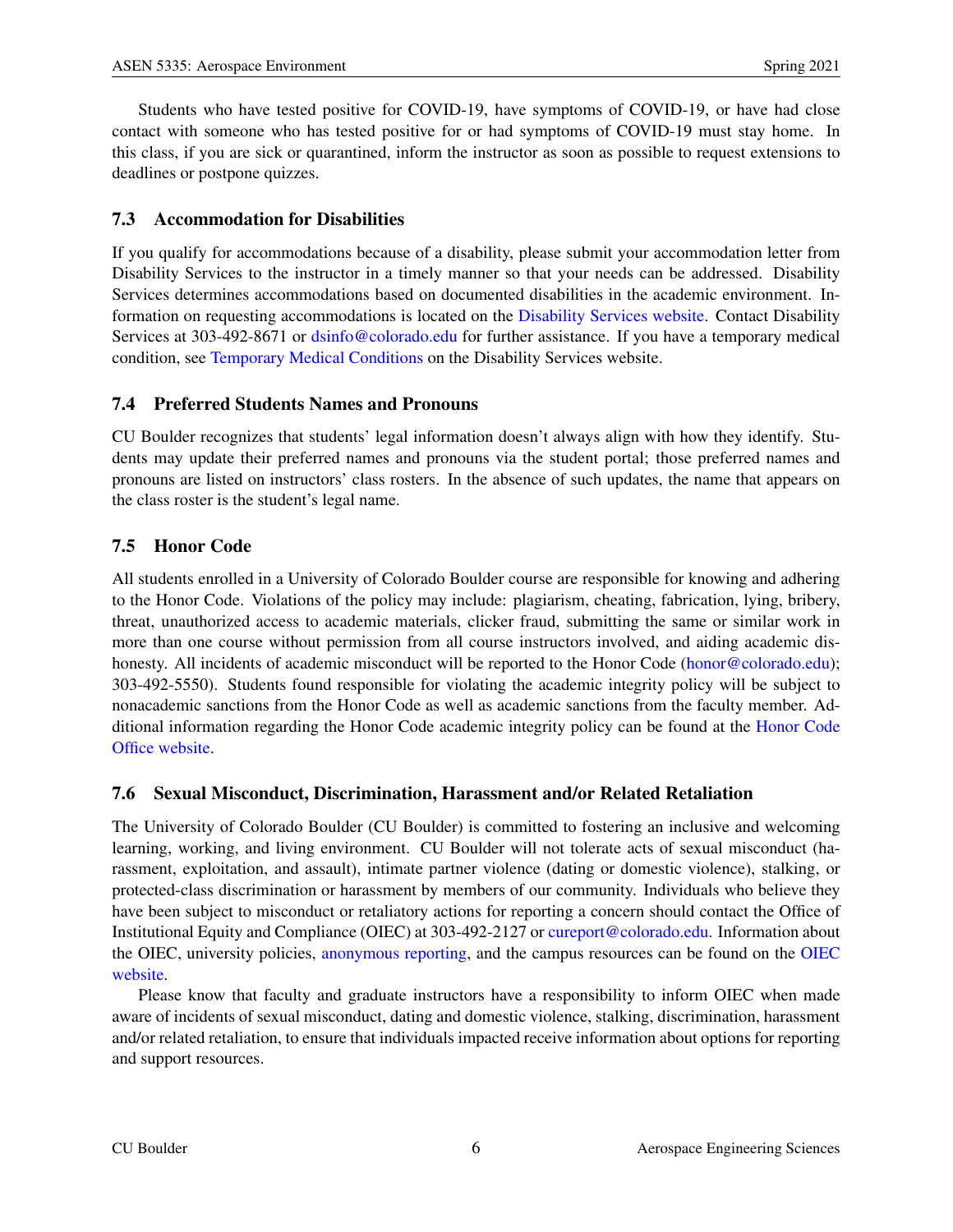Students who have tested positive for COVID-19, have symptoms of COVID-19, or have had close contact with someone who has tested positive for or had symptoms of COVID-19 must stay home. In this class, if you are sick or quarantined, inform the instructor as soon as possible to request extensions to deadlines or postpone quizzes.

### 7.3 Accommodation for Disabilities

If you qualify for accommodations because of a disability, please submit your accommodation letter from Disability Services to the instructor in a timely manner so that your needs can be addressed. Disability Services determines accommodations based on documented disabilities in the academic environment. Information on requesting accommodations is located on the Disability Services website. Contact Disability Services at 303-492-8671 or dsinfo@colorado.edu for further assistance. If you have a temporary medical condition, see Temporary Medical Conditions on the Disability Services website.

#### 7.4 Preferred Students Names and Pronouns

CU Boulder recognizes that students' legal information doesn't always align with how they identify. Students may update their preferred names and pronouns via the student portal; those preferred names and pronouns are listed on instructors' class rosters. In the absence of such updates, the name that appears on the class roster is the student's legal name.

### 7.5 Honor Code

All students enrolled in a University of Colorado Boulder course are responsible for knowing and adhering to the Honor Code. Violations of the policy may include: plagiarism, cheating, fabrication, lying, bribery, threat, unauthorized access to academic materials, clicker fraud, submitting the same or similar work in more than one course without permission from all course instructors involved, and aiding academic dishonesty. All incidents of academic misconduct will be reported to the Honor Code (honor@colorado.edu); 303-492-5550). Students found responsible for violating the academic integrity policy will be subject to nonacademic sanctions from the Honor Code as well as academic sanctions from the faculty member. Additional information regarding the Honor Code academic integrity policy can be found at the Honor Code Office website.

#### 7.6 Sexual Misconduct, Discrimination, Harassment and/or Related Retaliation

The University of Colorado Boulder (CU Boulder) is committed to fostering an inclusive and welcoming learning, working, and living environment. CU Boulder will not tolerate acts of sexual misconduct (harassment, exploitation, and assault), intimate partner violence (dating or domestic violence), stalking, or protected-class discrimination or harassment by members of our community. Individuals who believe they have been subject to misconduct or retaliatory actions for reporting a concern should contact the Office of Institutional Equity and Compliance (OIEC) at 303-492-2127 or cureport@colorado.edu. Information about the OIEC, university policies, anonymous reporting, and the campus resources can be found on the OIEC website.

Please know that faculty and graduate instructors have a responsibility to inform OIEC when made aware of incidents of sexual misconduct, dating and domestic violence, stalking, discrimination, harassment and/or related retaliation, to ensure that individuals impacted receive information about options for reporting and support resources.